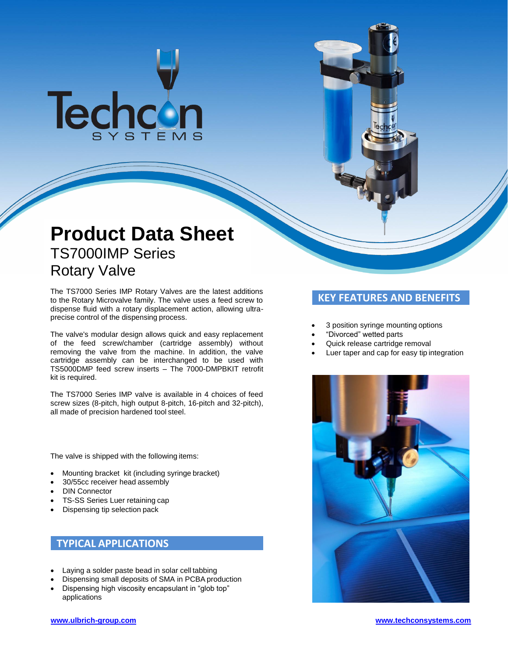# Techcon

## **Product Data Sheet** TS7000IMP Series Rotary Valve

The TS7000 Series IMP Rotary Valves are the latest additions to the Rotary Microvalve family. The valve uses a feed screw to dispense fluid with a rotary displacement action, allowing ultraprecise control of the dispensing process.

The valve's modular design allows quick and easy replacement of the feed screw/chamber (cartridge assembly) without removing the valve from the machine. In addition, the valve cartridge assembly can be interchanged to be used with TS5000DMP feed screw inserts – The 7000-DMPBKIT retrofit kit is required.

The TS7000 Series IMP valve is available in 4 choices of feed screw sizes (8-pitch, high output 8-pitch, 16-pitch and 32-pitch), all made of precision hardened tool steel.

The valve is shipped with the following items:

- Mounting bracket kit (including syringe bracket)
- 30/55cc receiver head assembly
- DIN Connector
- TS-SS Series Luer retaining cap
- Dispensing tip selection pack

## **TYPICAL APPLICATIONS**

- Laying a solder paste bead in solar cell tabbing
- Dispensing small deposits of SMA in PCBA production
- Dispensing high viscosity encapsulant in "glob top" applications

## **KEY FEATURES AND BENEFITS**

- 3 position syringe mounting options
- "Divorced" wetted parts
- Quick release cartridge removal
- Luer taper and cap for easy tip integration